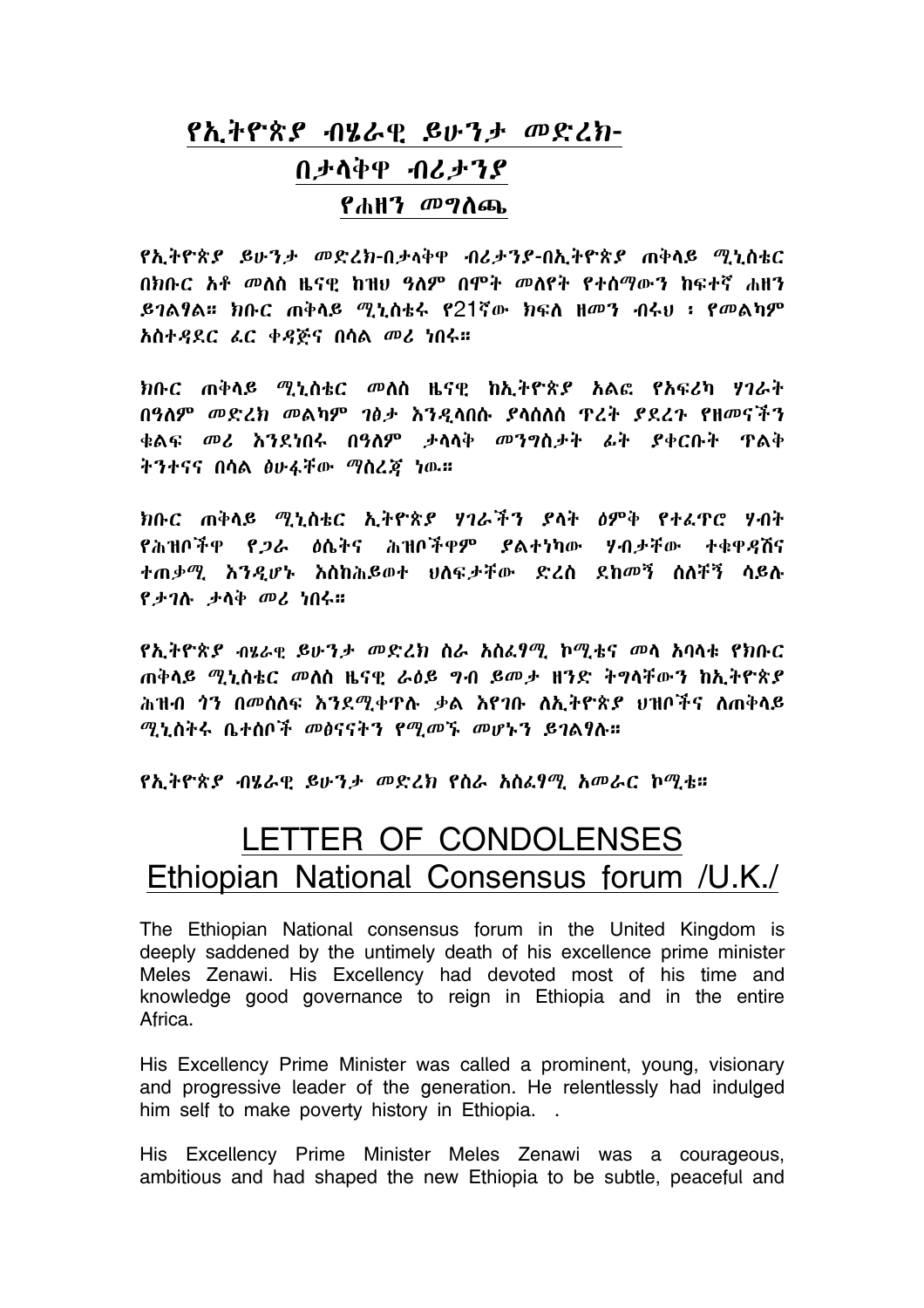## <u>የኢትዮጵያ ብሄራዊ ይሁንታ መድረክ-</u> በታላቅዋ ብሪታንያ የሐዘ*ን መግ*ስጫ

የኢትዮጵ*ያ ይሁንታ መድረክ-*በታላቅዋ ብሪ*ታንያ-*በኢትዮጵ*ያ* ጠቅላይ ሚኒስቴር በክቡር አቶ መለስ ዜናዋ ከዝሀ ዓለም በሞት መለየት የተሰማውን ከፍተኛ ሐዘን  $.$ ይገልፃል። ክቡር ጠቅላይ ሚኒስቴሩ የ $21$ ኛው ክፍለ ዘመን ብሩህ ፡ የመልካም አስተዳደር ሬር ቀዳጅና በሳል መሪ ነበሩ።

ክቡር ጠቅላይ *ሚኒ*ስቴር መለስ ዜናዊ ከኢትዮጵ*ያ* አልፎ የአፍሪካ ሃገራት በዓለም መድረክ መልካም ገፅታ እንዲሳበሱ ያሳሰለሰ ዋረት ያደረጉ የዘመናችን ቁልፍ *መሪ* እንደነበሩ በዓለም *ታ*ሳሳቅ መንግስ*ታት ሌት ያ*ቀርቡት ዋልቅ ትንተናና በሳል ፅሁፋቸው ማስረጃ ነው።

ክቡር ጠቅላይ ሚኒስቴር ኢትዮጵያ ሃገራችን ያላት ዕምቅ የተፈዋሮ ሃብት የሕዝቦችዋ የ*ጋ*ራ ዕሴትና ሕዝቦችዋም ያልተነካው ሃብታቸው ተቁዋዳሽና ተጠቃሚ እንዳሆኑ እስከሕይወተ ሀለፍታቸው ድረስ ደከመኝ ስለቸኝ ሳይሉ የታገሉ ታላቅ መሪ ነበሩ።

የኢትዮጵያ ብሄራዊ ይሁንታ መድረክ ስራ አስፌፃሚ ኮሚቴና መላ አባላቱ የክቡር ጠቅላይ *ሚኒ*ስቴር መለስ ዜናዊ ራዕይ ግብ ይመ*ታ* ዘንድ ትግላቸውን ከኢትዮጵ*ያ* ሕዝብ *ጎ*ን በመሰለፍ እንደሚቀዋሉ ቃል እየገቡ ለኢትዮጵ*ያ* ሀዝቦችና ለጠቅላይ ሚኒስትሩ ቤተሰቦች መፅናናትን የሚመኙ መሆኑን ይገልፃሉ።

የኢትዮጵ*ያ ብሄ*ራዊ ይሁን*ታ መድረክ* የስራ አስራፃሚ አመራር ኮሚቴ።

## LETTER OF CONDOLENSES Ethiopian National Consensus forum /U.K./

The Ethiopian National consensus forum in the United Kingdom is deeply saddened by the untimely death of his excellence prime minister Meles Zenawi. His Excellency had devoted most of his time and knowledge good governance to reign in Ethiopia and in the entire Africa.

His Excellency Prime Minister was called a prominent, young, visionary and progressive leader of the generation. He relentlessly had indulged him self to make poverty history in Ethiopia. .

His Excellency Prime Minister Meles Zenawi was a courageous, ambitious and had shaped the new Ethiopia to be subtle, peaceful and